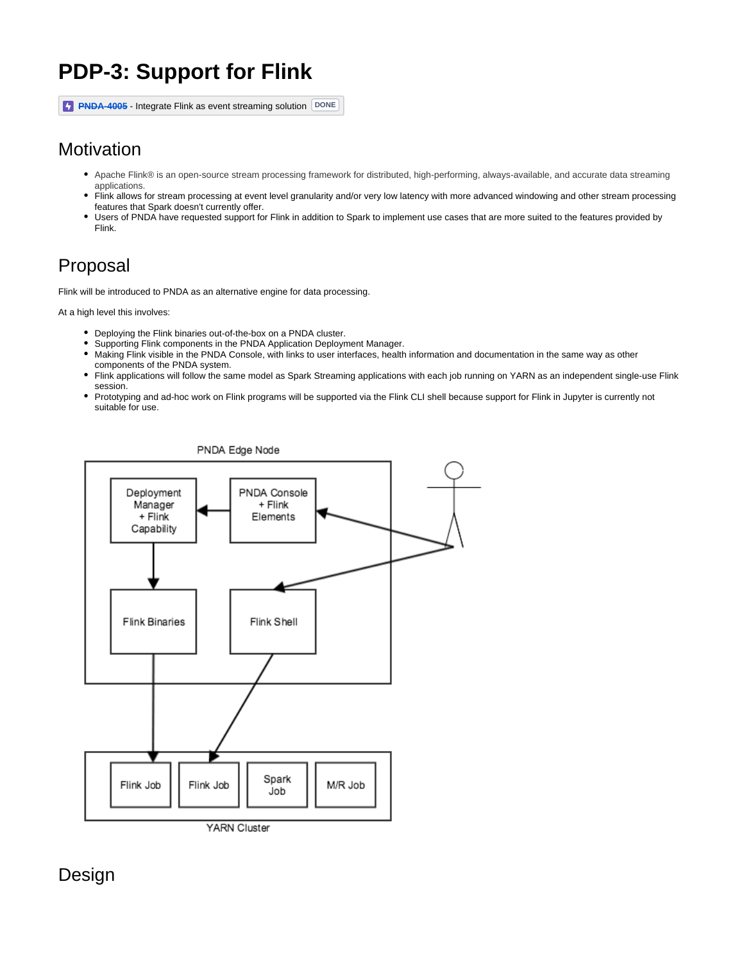# **PDP-3: Support for Flink**

**[PNDA-4005](https://jira.pnda.io/browse/PNDA-4005)** - Integrate Flink as event streaming solution **DONE** 

# **Motivation**

- Apache Flink® is an open-source stream processing framework for distributed, high-performing, always-available, and accurate data streaming applications.
- Flink allows for stream processing at event level granularity and/or very low latency with more advanced windowing and other stream processing features that Spark doesn't currently offer.
- Users of PNDA have requested support for Flink in addition to Spark to implement use cases that are more suited to the features provided by Flink.

# Proposal

Flink will be introduced to PNDA as an alternative engine for data processing.

At a high level this involves:

- Deploying the Flink binaries out-of-the-box on a PNDA cluster.
- Supporting Flink components in the PNDA Application Deployment Manager.
- Making Flink visible in the PNDA Console, with links to user interfaces, health information and documentation in the same way as other components of the PNDA system.
- Flink applications will follow the same model as Spark Streaming applications with each job running on YARN as an independent single-use Flink session.
- Prototyping and ad-hoc work on Flink programs will be supported via the Flink CLI shell because support for Flink in Jupyter is currently not suitable for use.



Design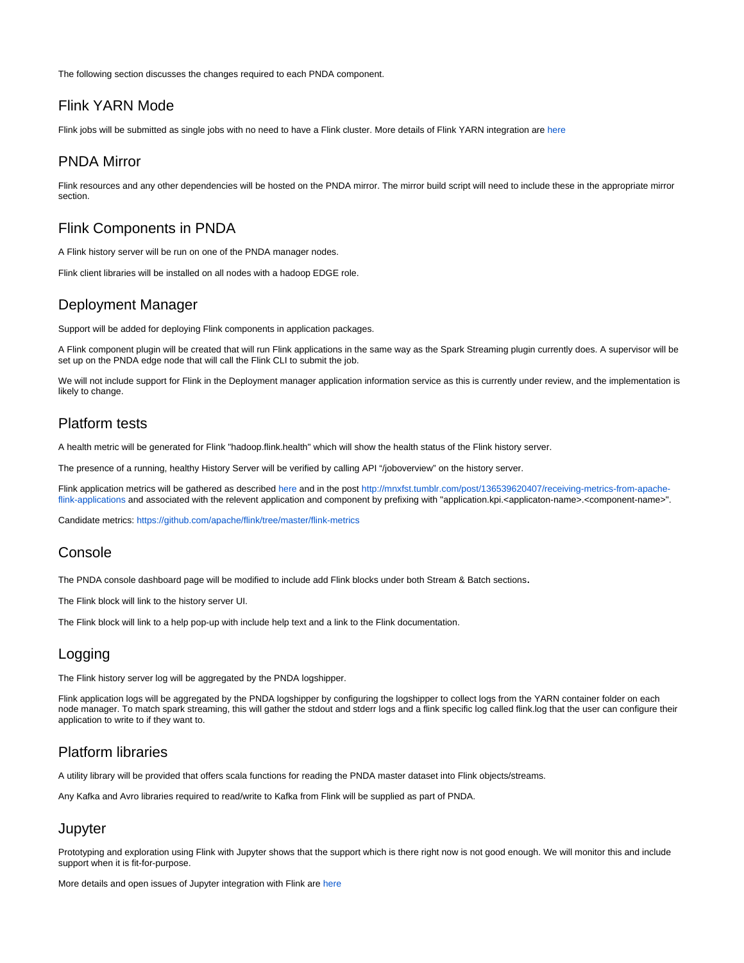The following section discusses the changes required to each PNDA component.

## Flink YARN Mode

Flink jobs will be submitted as single jobs with no need to have a Flink cluster. More details of Flink YARN integration are [here](https://wiki.pnda.io/pages/viewpage.action?pageId=327779)

### PNDA Mirror

Flink resources and any other dependencies will be hosted on the PNDA mirror. The mirror build script will need to include these in the appropriate mirror section.

## Flink Components in PNDA

A Flink history server will be run on one of the PNDA manager nodes.

Flink client libraries will be installed on all nodes with a hadoop EDGE role.

## Deployment Manager

Support will be added for deploying Flink components in application packages.

A Flink component plugin will be created that will run Flink applications in the same way as the Spark Streaming plugin currently does. A supervisor will be set up on the PNDA edge node that will call the Flink CLI to submit the job.

We will not include support for Flink in the Deployment manager application information service as this is currently under review, and the implementation is likely to change.

## Platform tests

A health metric will be generated for Flink "hadoop.flink.health" which will show the health status of the Flink history server.

The presence of a running, healthy History Server will be verified by calling API "/joboverview" on the history server.

Flink application metrics will be gathered as described [here](https://wiki.pnda.io/pages/viewpage.action?pageId=327771) and in the post [http://mnxfst.tumblr.com/post/136539620407/receiving-metrics-from-apache](http://mnxfst.tumblr.com/post/136539620407/receiving-metrics-from-apache-flink-applications)[flink-applications](http://mnxfst.tumblr.com/post/136539620407/receiving-metrics-from-apache-flink-applications) and associated with the relevent application and component by prefixing with "application.kpi.<applicaton-name>.<component-name>".

Candidate metrics: <https://github.com/apache/flink/tree/master/flink-metrics>

### **Console**

The PNDA console dashboard page will be modified to include add Flink blocks under both Stream & Batch sections.

The Flink block will link to the history server UI.

The Flink block will link to a help pop-up with include help text and a link to the Flink documentation.

## Logging

The Flink history server log will be aggregated by the PNDA logshipper.

Flink application logs will be aggregated by the PNDA logshipper by configuring the logshipper to collect logs from the YARN container folder on each node manager. To match spark streaming, this will gather the stdout and stderr logs and a flink specific log called flink.log that the user can configure their application to write to if they want to.

## Platform libraries

A utility library will be provided that offers scala functions for reading the PNDA master dataset into Flink objects/streams.

Any Kafka and Avro libraries required to read/write to Kafka from Flink will be supplied as part of PNDA.

### **Jupyter**

Prototyping and exploration using Flink with Jupyter shows that the support which is there right now is not good enough. We will monitor this and include support when it is fit-for-purpose.

More details and open issues of Jupyter integration with Flink are [here](https://wiki.pnda.io/pages/viewpage.action?pageId=327787)